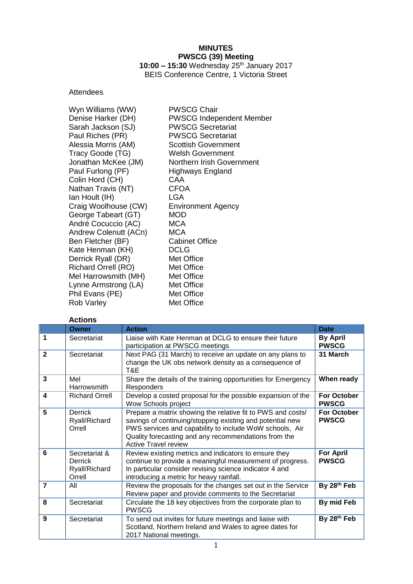# **MINUTES PWSCG (39) Meeting**

**10:00 – 15:30** Wednesday 25 th January 2017 BEIS Conference Centre, 1 Victoria Street

# Attendees

| Wyn Williams (WW)          | <b>PWSCG Chair</b>              |
|----------------------------|---------------------------------|
| Denise Harker (DH)         | <b>PWSCG Independent Member</b> |
| Sarah Jackson (SJ)         | <b>PWSCG Secretariat</b>        |
| Paul Riches (PR)           | <b>PWSCG Secretariat</b>        |
| Alessia Morris (AM)        | <b>Scottish Government</b>      |
| Tracy Goode (TG)           | <b>Welsh Government</b>         |
| Jonathan McKee (JM)        | Northern Irish Government       |
| Paul Furlong (PF)          | Highways England                |
| Colin Hord (CH)            | CAA                             |
| Nathan Travis (NT)         | <b>CFOA</b>                     |
| Ian Hoult (IH)             | LGA                             |
| Craig Woolhouse (CW)       | <b>Environment Agency</b>       |
| George Tabeart (GT)        | MOD                             |
| André Cocuccio (AC)        | <b>MCA</b>                      |
| Andrew Colenutt (ACn)      | <b>MCA</b>                      |
| Ben Fletcher (BF)          | <b>Cabinet Office</b>           |
| Kate Henman (KH)           | <b>DCLG</b>                     |
| Derrick Ryall (DR)         | Met Office                      |
| <b>Richard Orrell (RO)</b> | Met Office                      |
| Mel Harrowsmith (MH)       | Met Office                      |
| Lynne Armstrong (LA)       | Met Office                      |
| Phil Evans (PE)            | Met Office                      |
| <b>Rob Varley</b>          | Met Office                      |

## **Actions**

|                         | <b>Owner</b>                                               | <b>Action</b>                                                                                                                                                                                                                                                              | <b>Date</b>                        |
|-------------------------|------------------------------------------------------------|----------------------------------------------------------------------------------------------------------------------------------------------------------------------------------------------------------------------------------------------------------------------------|------------------------------------|
| 1                       | Secretariat                                                | Liaise with Kate Henman at DCLG to ensure their future<br>participation at PWSCG meetings                                                                                                                                                                                  | <b>By April</b><br><b>PWSCG</b>    |
| $\overline{2}$          | Secretariat                                                | Next PAG (31 March) to receive an update on any plans to<br>change the UK obs network density as a consequence of<br>T&E                                                                                                                                                   | 31 March                           |
| 3                       | Mel<br><b>Harrowsmith</b>                                  | Share the details of the training opportunities for Emergency<br>Responders                                                                                                                                                                                                | When ready                         |
| $\overline{\mathbf{4}}$ | <b>Richard Orrell</b>                                      | Develop a costed proposal for the possible expansion of the<br>Wow Schools project                                                                                                                                                                                         | <b>For October</b><br><b>PWSCG</b> |
| 5                       | <b>Derrick</b><br>Ryall/Richard<br>Orrell                  | Prepare a matrix showing the relative fit to PWS and costs/<br>savings of continuing/stopping existing and potential new<br>PWS services and capability to include WoW schools, Air<br>Quality forecasting and any recommendations from the<br><b>Active Travel review</b> | <b>For October</b><br><b>PWSCG</b> |
| 6                       | Secretariat &<br><b>Derrick</b><br>Ryall/Richard<br>Orrell | Review existing metrics and indicators to ensure they<br>continue to provide a meaningful measurement of progress.<br>In particular consider revising science indicator 4 and<br>introducing a metric for heavy rainfall.                                                  | <b>For April</b><br><b>PWSCG</b>   |
| $\overline{7}$          | All                                                        | Review the proposals for the changes set out in the Service<br>Review paper and provide comments to the Secretariat                                                                                                                                                        | By 28th Feb                        |
| 8                       | Secretariat                                                | Circulate the 18 key objectives from the corporate plan to<br><b>PWSCG</b>                                                                                                                                                                                                 | By mid Feb                         |
| 9                       | Secretariat                                                | To send out invites for future meetings and liaise with<br>Scotland, Northern Ireland and Wales to agree dates for<br>2017 National meetings.                                                                                                                              | By 28th Feb                        |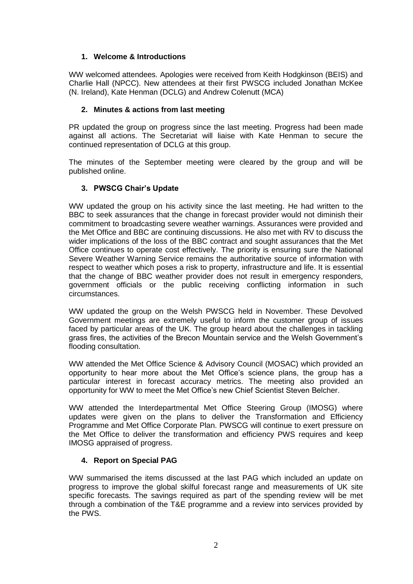## **1. Welcome & Introductions**

WW welcomed attendees. Apologies were received from Keith Hodgkinson (BEIS) and Charlie Hall (NPCC). New attendees at their first PWSCG included Jonathan McKee (N. Ireland), Kate Henman (DCLG) and Andrew Colenutt (MCA)

## **2. Minutes & actions from last meeting**

PR updated the group on progress since the last meeting. Progress had been made against all actions. The Secretariat will liaise with Kate Henman to secure the continued representation of DCLG at this group.

The minutes of the September meeting were cleared by the group and will be published online.

## **3. PWSCG Chair's Update**

WW updated the group on his activity since the last meeting. He had written to the BBC to seek assurances that the change in forecast provider would not diminish their commitment to broadcasting severe weather warnings. Assurances were provided and the Met Office and BBC are continuing discussions. He also met with RV to discuss the wider implications of the loss of the BBC contract and sought assurances that the Met Office continues to operate cost effectively. The priority is ensuring sure the National Severe Weather Warning Service remains the authoritative source of information with respect to weather which poses a risk to property, infrastructure and life. It is essential that the change of BBC weather provider does not result in emergency responders, government officials or the public receiving conflicting information in such circumstances.

WW updated the group on the Welsh PWSCG held in November. These Devolved Government meetings are extremely useful to inform the customer group of issues faced by particular areas of the UK. The group heard about the challenges in tackling grass fires, the activities of the Brecon Mountain service and the Welsh Government's flooding consultation.

WW attended the Met Office Science & Advisory Council (MOSAC) which provided an opportunity to hear more about the Met Office's science plans, the group has a particular interest in forecast accuracy metrics. The meeting also provided an opportunity for WW to meet the Met Office's new Chief Scientist Steven Belcher.

WW attended the Interdepartmental Met Office Steering Group (IMOSG) where updates were given on the plans to deliver the Transformation and Efficiency Programme and Met Office Corporate Plan. PWSCG will continue to exert pressure on the Met Office to deliver the transformation and efficiency PWS requires and keep IMOSG appraised of progress.

# **4. Report on Special PAG**

WW summarised the items discussed at the last PAG which included an update on progress to improve the global skilful forecast range and measurements of UK site specific forecasts. The savings required as part of the spending review will be met through a combination of the T&E programme and a review into services provided by the PWS.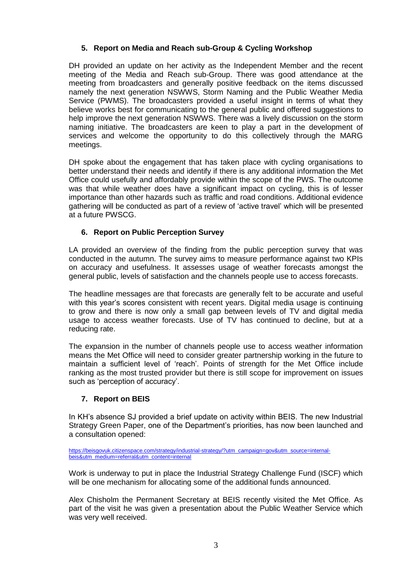# **5. Report on Media and Reach sub-Group & Cycling Workshop**

DH provided an update on her activity as the Independent Member and the recent meeting of the Media and Reach sub-Group. There was good attendance at the meeting from broadcasters and generally positive feedback on the items discussed namely the next generation NSWWS, Storm Naming and the Public Weather Media Service (PWMS). The broadcasters provided a useful insight in terms of what they believe works best for communicating to the general public and offered suggestions to help improve the next generation NSWWS. There was a lively discussion on the storm naming initiative. The broadcasters are keen to play a part in the development of services and welcome the opportunity to do this collectively through the MARG meetings.

DH spoke about the engagement that has taken place with cycling organisations to better understand their needs and identify if there is any additional information the Met Office could usefully and affordably provide within the scope of the PWS. The outcome was that while weather does have a significant impact on cycling, this is of lesser importance than other hazards such as traffic and road conditions. Additional evidence gathering will be conducted as part of a review of 'active travel' which will be presented at a future PWSCG.

# **6. Report on Public Perception Survey**

LA provided an overview of the finding from the public perception survey that was conducted in the autumn. The survey aims to measure performance against two KPIs on accuracy and usefulness. It assesses usage of weather forecasts amongst the general public, levels of satisfaction and the channels people use to access forecasts.

The headline messages are that forecasts are generally felt to be accurate and useful with this year's scores consistent with recent years. Digital media usage is continuing to grow and there is now only a small gap between levels of TV and digital media usage to access weather forecasts. Use of TV has continued to decline, but at a reducing rate.

The expansion in the number of channels people use to access weather information means the Met Office will need to consider greater partnership working in the future to maintain a sufficient level of 'reach'. Points of strength for the Met Office include ranking as the most trusted provider but there is still scope for improvement on issues such as 'perception of accuracy'.

# **7. Report on BEIS**

In KH's absence SJ provided a brief update on activity within BEIS. The new Industrial Strategy Green Paper, one of the Department's priorities, has now been launched and a consultation opened:

[https://beisgovuk.citizenspace.com/strategy/industrial-strategy/?utm\\_campaign=gov&utm\\_source=internal](https://beisgovuk.citizenspace.com/strategy/industrial-strategy/?utm_campaign=gov&utm_source=internal-beis&utm_medium=referral&utm_content=internal)[beis&utm\\_medium=referral&utm\\_content=internal](https://beisgovuk.citizenspace.com/strategy/industrial-strategy/?utm_campaign=gov&utm_source=internal-beis&utm_medium=referral&utm_content=internal)

Work is underway to put in place the Industrial Strategy Challenge Fund (ISCF) which will be one mechanism for allocating some of the additional funds announced.

Alex Chisholm the Permanent Secretary at BEIS recently visited the Met Office. As part of the visit he was given a presentation about the Public Weather Service which was very well received.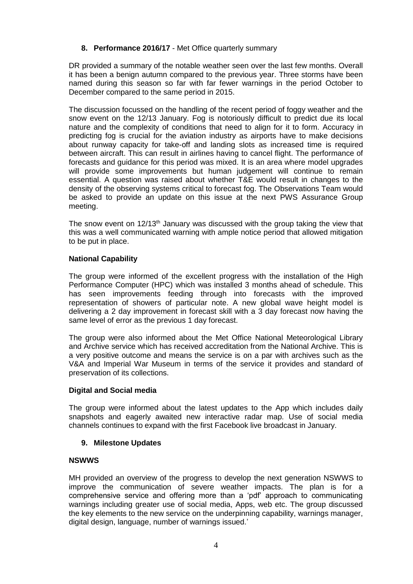## **8. Performance 2016/17** - Met Office quarterly summary

DR provided a summary of the notable weather seen over the last few months. Overall it has been a benign autumn compared to the previous year. Three storms have been named during this season so far with far fewer warnings in the period October to December compared to the same period in 2015.

The discussion focussed on the handling of the recent period of foggy weather and the snow event on the 12/13 January. Fog is notoriously difficult to predict due its local nature and the complexity of conditions that need to align for it to form. Accuracy in predicting fog is crucial for the aviation industry as airports have to make decisions about runway capacity for take-off and landing slots as increased time is required between aircraft. This can result in airlines having to cancel flight. The performance of forecasts and guidance for this period was mixed. It is an area where model upgrades will provide some improvements but human judgement will continue to remain essential. A question was raised about whether T&E would result in changes to the density of the observing systems critical to forecast fog. The Observations Team would be asked to provide an update on this issue at the next PWS Assurance Group meeting.

The snow event on  $12/13<sup>th</sup>$  January was discussed with the group taking the view that this was a well communicated warning with ample notice period that allowed mitigation to be put in place.

## **National Capability**

The group were informed of the excellent progress with the installation of the High Performance Computer (HPC) which was installed 3 months ahead of schedule. This has seen improvements feeding through into forecasts with the improved representation of showers of particular note. A new global wave height model is delivering a 2 day improvement in forecast skill with a 3 day forecast now having the same level of error as the previous 1 day forecast.

The group were also informed about the Met Office National Meteorological Library and Archive service which has received accreditation from the National Archive. This is a very positive outcome and means the service is on a par with archives such as the V&A and Imperial War Museum in terms of the service it provides and standard of preservation of its collections.

## **Digital and Social media**

The group were informed about the latest updates to the App which includes daily snapshots and eagerly awaited new interactive radar map. Use of social media channels continues to expand with the first Facebook live broadcast in January.

## **9. Milestone Updates**

## **NSWWS**

MH provided an overview of the progress to develop the next generation NSWWS to improve the communication of severe weather impacts. The plan is for a comprehensive service and offering more than a 'pdf' approach to communicating warnings including greater use of social media, Apps, web etc. The group discussed the key elements to the new service on the underpinning capability, warnings manager, digital design, language, number of warnings issued.'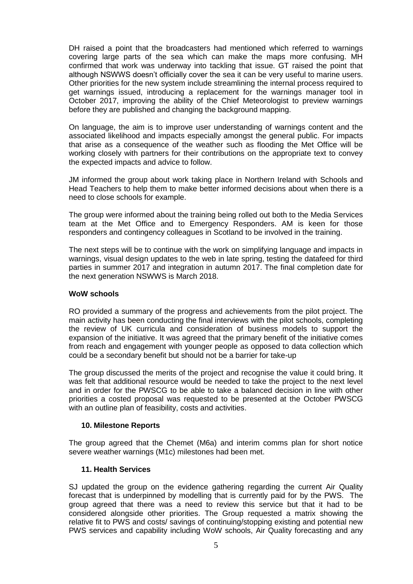DH raised a point that the broadcasters had mentioned which referred to warnings covering large parts of the sea which can make the maps more confusing. MH confirmed that work was underway into tackling that issue. GT raised the point that although NSWWS doesn't officially cover the sea it can be very useful to marine users. Other priorities for the new system include streamlining the internal process required to get warnings issued, introducing a replacement for the warnings manager tool in October 2017, improving the ability of the Chief Meteorologist to preview warnings before they are published and changing the background mapping.

On language, the aim is to improve user understanding of warnings content and the associated likelihood and impacts especially amongst the general public. For impacts that arise as a consequence of the weather such as flooding the Met Office will be working closely with partners for their contributions on the appropriate text to convey the expected impacts and advice to follow.

JM informed the group about work taking place in Northern Ireland with Schools and Head Teachers to help them to make better informed decisions about when there is a need to close schools for example.

The group were informed about the training being rolled out both to the Media Services team at the Met Office and to Emergency Responders. AM is keen for those responders and contingency colleagues in Scotland to be involved in the training.

The next steps will be to continue with the work on simplifying language and impacts in warnings, visual design updates to the web in late spring, testing the datafeed for third parties in summer 2017 and integration in autumn 2017. The final completion date for the next generation NSWWS is March 2018.

## **WoW schools**

RO provided a summary of the progress and achievements from the pilot project. The main activity has been conducting the final interviews with the pilot schools, completing the review of UK curricula and consideration of business models to support the expansion of the initiative. It was agreed that the primary benefit of the initiative comes from reach and engagement with younger people as opposed to data collection which could be a secondary benefit but should not be a barrier for take-up

The group discussed the merits of the project and recognise the value it could bring. It was felt that additional resource would be needed to take the project to the next level and in order for the PWSCG to be able to take a balanced decision in line with other priorities a costed proposal was requested to be presented at the October PWSCG with an outline plan of feasibility, costs and activities.

## **10. Milestone Reports**

The group agreed that the Chemet (M6a) and interim comms plan for short notice severe weather warnings (M1c) milestones had been met.

#### **11. Health Services**

SJ updated the group on the evidence gathering regarding the current Air Quality forecast that is underpinned by modelling that is currently paid for by the PWS. The group agreed that there was a need to review this service but that it had to be considered alongside other priorities. The Group requested a matrix showing the relative fit to PWS and costs/ savings of continuing/stopping existing and potential new PWS services and capability including WoW schools, Air Quality forecasting and any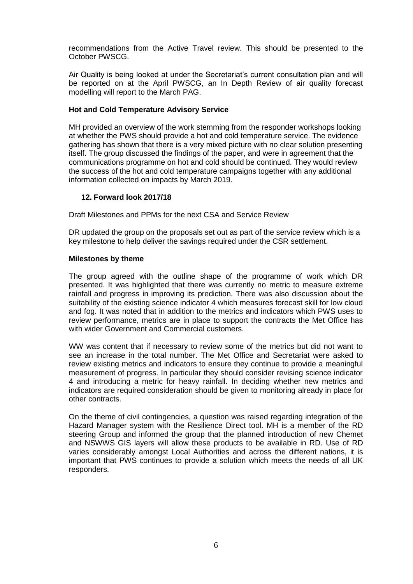recommendations from the Active Travel review. This should be presented to the October PWSCG.

Air Quality is being looked at under the Secretariat's current consultation plan and will be reported on at the April PWSCG, an In Depth Review of air quality forecast modelling will report to the March PAG.

## **Hot and Cold Temperature Advisory Service**

MH provided an overview of the work stemming from the responder workshops looking at whether the PWS should provide a hot and cold temperature service. The evidence gathering has shown that there is a very mixed picture with no clear solution presenting itself. The group discussed the findings of the paper, and were in agreement that the communications programme on hot and cold should be continued. They would review the success of the hot and cold temperature campaigns together with any additional information collected on impacts by March 2019.

## **12. Forward look 2017/18**

Draft Milestones and PPMs for the next CSA and Service Review

DR updated the group on the proposals set out as part of the service review which is a key milestone to help deliver the savings required under the CSR settlement.

#### **Milestones by theme**

The group agreed with the outline shape of the programme of work which DR presented. It was highlighted that there was currently no metric to measure extreme rainfall and progress in improving its prediction. There was also discussion about the suitability of the existing science indicator 4 which measures forecast skill for low cloud and fog. It was noted that in addition to the metrics and indicators which PWS uses to review performance, metrics are in place to support the contracts the Met Office has with wider Government and Commercial customers.

WW was content that if necessary to review some of the metrics but did not want to see an increase in the total number. The Met Office and Secretariat were asked to review existing metrics and indicators to ensure they continue to provide a meaningful measurement of progress. In particular they should consider revising science indicator 4 and introducing a metric for heavy rainfall. In deciding whether new metrics and indicators are required consideration should be given to monitoring already in place for other contracts.

On the theme of civil contingencies, a question was raised regarding integration of the Hazard Manager system with the Resilience Direct tool. MH is a member of the RD steering Group and informed the group that the planned introduction of new Chemet and NSWWS GIS layers will allow these products to be available in RD. Use of RD varies considerably amongst Local Authorities and across the different nations, it is important that PWS continues to provide a solution which meets the needs of all UK responders.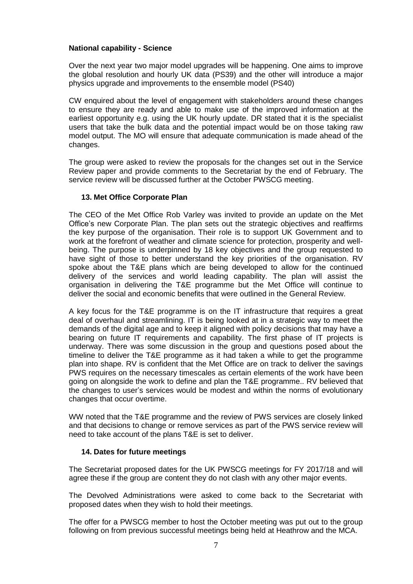#### **National capability - Science**

Over the next year two major model upgrades will be happening. One aims to improve the global resolution and hourly UK data (PS39) and the other will introduce a major physics upgrade and improvements to the ensemble model (PS40)

CW enquired about the level of engagement with stakeholders around these changes to ensure they are ready and able to make use of the improved information at the earliest opportunity e.g. using the UK hourly update. DR stated that it is the specialist users that take the bulk data and the potential impact would be on those taking raw model output. The MO will ensure that adequate communication is made ahead of the changes.

The group were asked to review the proposals for the changes set out in the Service Review paper and provide comments to the Secretariat by the end of February. The service review will be discussed further at the October PWSCG meeting.

#### **13. Met Office Corporate Plan**

The CEO of the Met Office Rob Varley was invited to provide an update on the Met Office's new Corporate Plan. The plan sets out the strategic objectives and reaffirms the key purpose of the organisation. Their role is to support UK Government and to work at the forefront of weather and climate science for protection, prosperity and wellbeing. The purpose is underpinned by 18 key objectives and the group requested to have sight of those to better understand the key priorities of the organisation. RV spoke about the T&E plans which are being developed to allow for the continued delivery of the services and world leading capability. The plan will assist the organisation in delivering the T&E programme but the Met Office will continue to deliver the social and economic benefits that were outlined in the General Review.

A key focus for the T&E programme is on the IT infrastructure that requires a great deal of overhaul and streamlining. IT is being looked at in a strategic way to meet the demands of the digital age and to keep it aligned with policy decisions that may have a bearing on future IT requirements and capability. The first phase of IT projects is underway. There was some discussion in the group and questions posed about the timeline to deliver the T&E programme as it had taken a while to get the programme plan into shape. RV is confident that the Met Office are on track to deliver the savings PWS requires on the necessary timescales as certain elements of the work have been going on alongside the work to define and plan the T&E programme.. RV believed that the changes to user's services would be modest and within the norms of evolutionary changes that occur overtime.

WW noted that the T&E programme and the review of PWS services are closely linked and that decisions to change or remove services as part of the PWS service review will need to take account of the plans T&E is set to deliver.

## **14. Dates for future meetings**

The Secretariat proposed dates for the UK PWSCG meetings for FY 2017/18 and will agree these if the group are content they do not clash with any other major events.

The Devolved Administrations were asked to come back to the Secretariat with proposed dates when they wish to hold their meetings.

The offer for a PWSCG member to host the October meeting was put out to the group following on from previous successful meetings being held at Heathrow and the MCA.